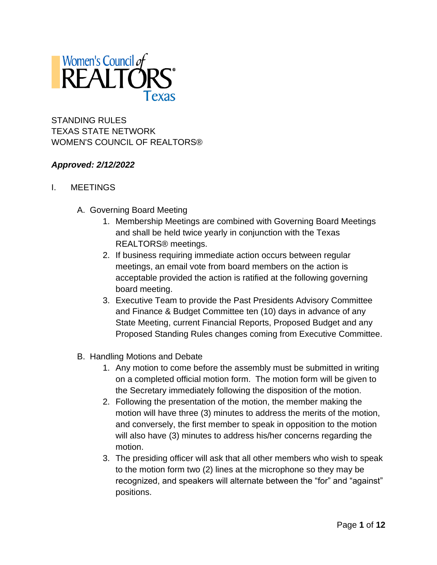

STANDING RULES TEXAS STATE NETWORK WOMEN'S COUNCIL OF REALTORS®

### *Approved: 2/12/2022*

- I. MEETINGS
	- A. Governing Board Meeting
		- 1. Membership Meetings are combined with Governing Board Meetings and shall be held twice yearly in conjunction with the Texas REALTORS® meetings.
		- 2. If business requiring immediate action occurs between regular meetings, an email vote from board members on the action is acceptable provided the action is ratified at the following governing board meeting.
		- 3. Executive Team to provide the Past Presidents Advisory Committee and Finance & Budget Committee ten (10) days in advance of any State Meeting, current Financial Reports, Proposed Budget and any Proposed Standing Rules changes coming from Executive Committee.
	- B. Handling Motions and Debate
		- 1. Any motion to come before the assembly must be submitted in writing on a completed official motion form. The motion form will be given to the Secretary immediately following the disposition of the motion.
		- 2. Following the presentation of the motion, the member making the motion will have three (3) minutes to address the merits of the motion, and conversely, the first member to speak in opposition to the motion will also have (3) minutes to address his/her concerns regarding the motion.
		- 3. The presiding officer will ask that all other members who wish to speak to the motion form two (2) lines at the microphone so they may be recognized, and speakers will alternate between the "for" and "against" positions.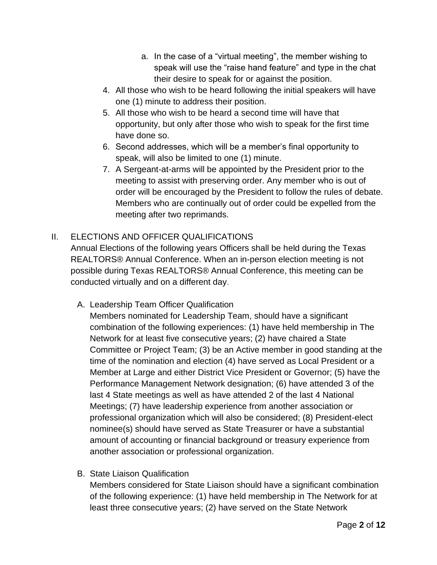- a. In the case of a "virtual meeting", the member wishing to speak will use the "raise hand feature" and type in the chat their desire to speak for or against the position.
- 4. All those who wish to be heard following the initial speakers will have one (1) minute to address their position.
- 5. All those who wish to be heard a second time will have that opportunity, but only after those who wish to speak for the first time have done so.
- 6. Second addresses, which will be a member's final opportunity to speak, will also be limited to one (1) minute.
- 7. A Sergeant-at-arms will be appointed by the President prior to the meeting to assist with preserving order. Any member who is out of order will be encouraged by the President to follow the rules of debate. Members who are continually out of order could be expelled from the meeting after two reprimands.

# II. ELECTIONS AND OFFICER QUALIFICATIONS

Annual Elections of the following years Officers shall be held during the Texas REALTORS® Annual Conference. When an in-person election meeting is not possible during Texas REALTORS® Annual Conference, this meeting can be conducted virtually and on a different day.

A. Leadership Team Officer Qualification

Members nominated for Leadership Team, should have a significant combination of the following experiences: (1) have held membership in The Network for at least five consecutive years; (2) have chaired a State Committee or Project Team; (3) be an Active member in good standing at the time of the nomination and election (4) have served as Local President or a Member at Large and either District Vice President or Governor; (5) have the Performance Management Network designation; (6) have attended 3 of the last 4 State meetings as well as have attended 2 of the last 4 National Meetings; (7) have leadership experience from another association or professional organization which will also be considered; (8) President-elect nominee(s) should have served as State Treasurer or have a substantial amount of accounting or financial background or treasury experience from another association or professional organization.

B. State Liaison Qualification

Members considered for State Liaison should have a significant combination of the following experience: (1) have held membership in The Network for at least three consecutive years; (2) have served on the State Network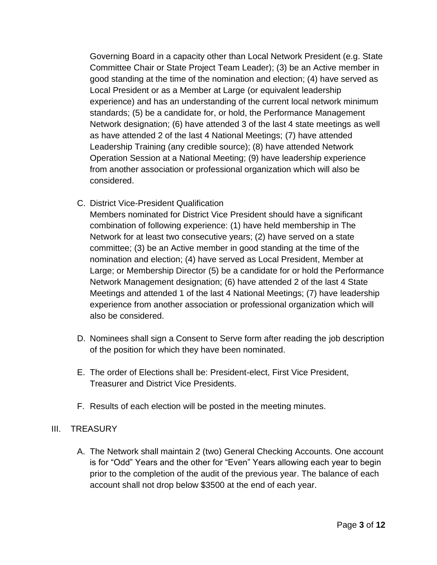Governing Board in a capacity other than Local Network President (e.g. State Committee Chair or State Project Team Leader); (3) be an Active member in good standing at the time of the nomination and election; (4) have served as Local President or as a Member at Large (or equivalent leadership experience) and has an understanding of the current local network minimum standards; (5) be a candidate for, or hold, the Performance Management Network designation; (6) have attended 3 of the last 4 state meetings as well as have attended 2 of the last 4 National Meetings; (7) have attended Leadership Training (any credible source); (8) have attended Network Operation Session at a National Meeting; (9) have leadership experience from another association or professional organization which will also be considered.

C. District Vice-President Qualification

Members nominated for District Vice President should have a significant combination of following experience: (1) have held membership in The Network for at least two consecutive years; (2) have served on a state committee; (3) be an Active member in good standing at the time of the nomination and election; (4) have served as Local President, Member at Large; or Membership Director (5) be a candidate for or hold the Performance Network Management designation; (6) have attended 2 of the last 4 State Meetings and attended 1 of the last 4 National Meetings; (7) have leadership experience from another association or professional organization which will also be considered.

- D. Nominees shall sign a Consent to Serve form after reading the job description of the position for which they have been nominated.
- E. The order of Elections shall be: President-elect, First Vice President, Treasurer and District Vice Presidents.
- F. Results of each election will be posted in the meeting minutes.

### III. TREASURY

A. The Network shall maintain 2 (two) General Checking Accounts. One account is for "Odd" Years and the other for "Even" Years allowing each year to begin prior to the completion of the audit of the previous year. The balance of each account shall not drop below \$3500 at the end of each year.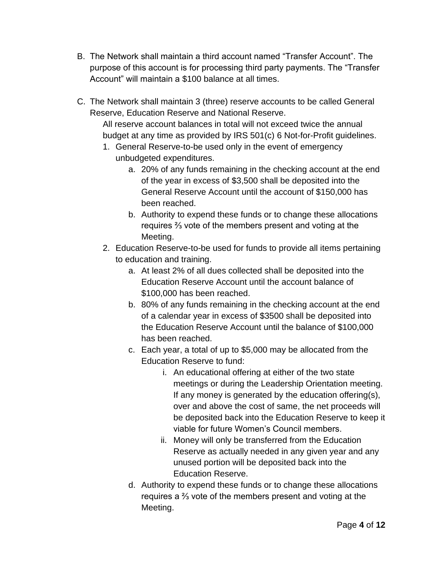- B. The Network shall maintain a third account named "Transfer Account". The purpose of this account is for processing third party payments. The "Transfer Account" will maintain a \$100 balance at all times.
- C. The Network shall maintain 3 (three) reserve accounts to be called General Reserve, Education Reserve and National Reserve.

All reserve account balances in total will not exceed twice the annual budget at any time as provided by IRS 501(c) 6 Not-for-Profit guidelines.

- 1. General Reserve-to-be used only in the event of emergency unbudgeted expenditures.
	- a. 20% of any funds remaining in the checking account at the end of the year in excess of \$3,500 shall be deposited into the General Reserve Account until the account of \$150,000 has been reached.
	- b. Authority to expend these funds or to change these allocations requires ⅔ vote of the members present and voting at the Meeting.
- 2. Education Reserve-to-be used for funds to provide all items pertaining to education and training.
	- a. At least 2% of all dues collected shall be deposited into the Education Reserve Account until the account balance of \$100,000 has been reached.
	- b. 80% of any funds remaining in the checking account at the end of a calendar year in excess of \$3500 shall be deposited into the Education Reserve Account until the balance of \$100,000 has been reached.
	- c. Each year, a total of up to \$5,000 may be allocated from the Education Reserve to fund:
		- i. An educational offering at either of the two state meetings or during the Leadership Orientation meeting. If any money is generated by the education offering(s), over and above the cost of same, the net proceeds will be deposited back into the Education Reserve to keep it viable for future Women's Council members.
		- ii. Money will only be transferred from the Education Reserve as actually needed in any given year and any unused portion will be deposited back into the Education Reserve.
	- d. Authority to expend these funds or to change these allocations requires a ⅔ vote of the members present and voting at the Meeting.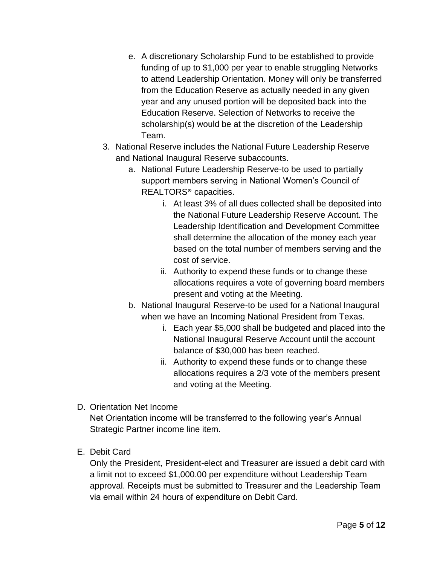- e. A discretionary Scholarship Fund to be established to provide funding of up to \$1,000 per year to enable struggling Networks to attend Leadership Orientation. Money will only be transferred from the Education Reserve as actually needed in any given year and any unused portion will be deposited back into the Education Reserve. Selection of Networks to receive the scholarship(s) would be at the discretion of the Leadership Team.
- 3. National Reserve includes the National Future Leadership Reserve and National Inaugural Reserve subaccounts.
	- a. National Future Leadership Reserve-to be used to partially support members serving in National Women's Council of REALTORS® capacities.
		- i. At least 3% of all dues collected shall be deposited into the National Future Leadership Reserve Account. The Leadership Identification and Development Committee shall determine the allocation of the money each year based on the total number of members serving and the cost of service.
		- ii. Authority to expend these funds or to change these allocations requires a vote of governing board members present and voting at the Meeting.
	- b. National Inaugural Reserve-to be used for a National Inaugural when we have an Incoming National President from Texas.
		- i. Each year \$5,000 shall be budgeted and placed into the National Inaugural Reserve Account until the account balance of \$30,000 has been reached.
		- ii. Authority to expend these funds or to change these allocations requires a 2/3 vote of the members present and voting at the Meeting.
- D. Orientation Net Income

Net Orientation income will be transferred to the following year's Annual Strategic Partner income line item.

E. Debit Card

Only the President, President-elect and Treasurer are issued a debit card with a limit not to exceed \$1,000.00 per expenditure without Leadership Team approval. Receipts must be submitted to Treasurer and the Leadership Team via email within 24 hours of expenditure on Debit Card.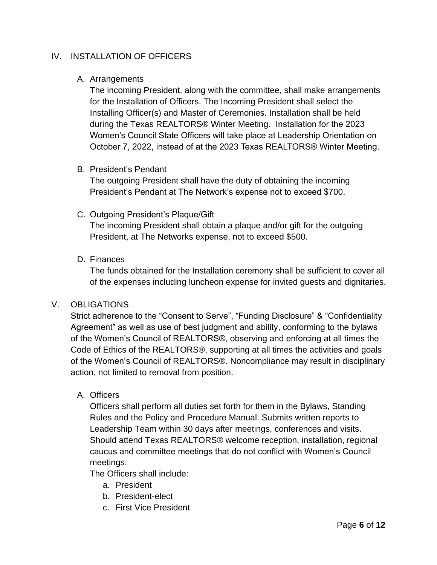### IV. INSTALLATION OF OFFICERS

#### A. Arrangements

The incoming President, along with the committee, shall make arrangements for the Installation of Officers. The Incoming President shall select the Installing Officer(s) and Master of Ceremonies. Installation shall be held during the Texas REALTORS® Winter Meeting. Installation for the 2023 Women's Council State Officers will take place at Leadership Orientation on October 7, 2022, instead of at the 2023 Texas REALTORS® Winter Meeting.

#### B. President's Pendant

The outgoing President shall have the duty of obtaining the incoming President's Pendant at The Network's expense not to exceed \$700.

#### C. Outgoing President's Plaque/Gift

The incoming President shall obtain a plaque and/or gift for the outgoing President, at The Networks expense, not to exceed \$500.

### D. Finances

The funds obtained for the Installation ceremony shall be sufficient to cover all of the expenses including luncheon expense for invited guests and dignitaries.

### V. OBLIGATIONS

Strict adherence to the "Consent to Serve", "Funding Disclosure" & "Confidentiality Agreement" as well as use of best judgment and ability, conforming to the bylaws of the Women's Council of REALTORS®, observing and enforcing at all times the Code of Ethics of the REALTORS®, supporting at all times the activities and goals of the Women's Council of REALTORS®. Noncompliance may result in disciplinary action, not limited to removal from position.

#### A. Officers

Officers shall perform all duties set forth for them in the Bylaws, Standing Rules and the Policy and Procedure Manual. Submits written reports to Leadership Team within 30 days after meetings, conferences and visits. Should attend Texas REALTORS® welcome reception, installation, regional caucus and committee meetings that do not conflict with Women's Council meetings.

The Officers shall include:

- a. President
- b. President-elect
- c. First Vice President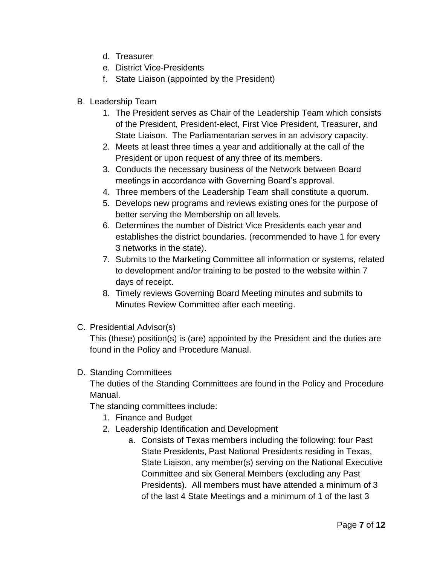- d. Treasurer
- e. District Vice-Presidents
- f. State Liaison (appointed by the President)
- B. Leadership Team
	- 1. The President serves as Chair of the Leadership Team which consists of the President, President-elect, First Vice President, Treasurer, and State Liaison. The Parliamentarian serves in an advisory capacity.
	- 2. Meets at least three times a year and additionally at the call of the President or upon request of any three of its members.
	- 3. Conducts the necessary business of the Network between Board meetings in accordance with Governing Board's approval.
	- 4. Three members of the Leadership Team shall constitute a quorum.
	- 5. Develops new programs and reviews existing ones for the purpose of better serving the Membership on all levels.
	- 6. Determines the number of District Vice Presidents each year and establishes the district boundaries. (recommended to have 1 for every 3 networks in the state).
	- 7. Submits to the Marketing Committee all information or systems, related to development and/or training to be posted to the website within 7 days of receipt.
	- 8. Timely reviews Governing Board Meeting minutes and submits to Minutes Review Committee after each meeting.
- C. Presidential Advisor(s)

This (these) position(s) is (are) appointed by the President and the duties are found in the Policy and Procedure Manual.

### D. Standing Committees

The duties of the Standing Committees are found in the Policy and Procedure Manual.

The standing committees include:

- 1. Finance and Budget
- 2. Leadership Identification and Development
	- a. Consists of Texas members including the following: four Past State Presidents, Past National Presidents residing in Texas, State Liaison, any member(s) serving on the National Executive Committee and six General Members (excluding any Past Presidents). All members must have attended a minimum of 3 of the last 4 State Meetings and a minimum of 1 of the last 3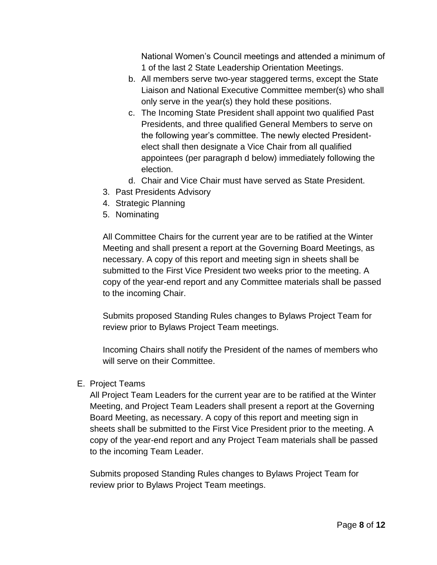National Women's Council meetings and attended a minimum of 1 of the last 2 State Leadership Orientation Meetings.

- b. All members serve two-year staggered terms, except the State Liaison and National Executive Committee member(s) who shall only serve in the year(s) they hold these positions.
- c. The Incoming State President shall appoint two qualified Past Presidents, and three qualified General Members to serve on the following year's committee. The newly elected Presidentelect shall then designate a Vice Chair from all qualified appointees (per paragraph d below) immediately following the election.
- d. Chair and Vice Chair must have served as State President.
- 3. Past Presidents Advisory
- 4. Strategic Planning
- 5. Nominating

All Committee Chairs for the current year are to be ratified at the Winter Meeting and shall present a report at the Governing Board Meetings, as necessary. A copy of this report and meeting sign in sheets shall be submitted to the First Vice President two weeks prior to the meeting. A copy of the year-end report and any Committee materials shall be passed to the incoming Chair.

Submits proposed Standing Rules changes to Bylaws Project Team for review prior to Bylaws Project Team meetings.

Incoming Chairs shall notify the President of the names of members who will serve on their Committee.

### E. Project Teams

All Project Team Leaders for the current year are to be ratified at the Winter Meeting, and Project Team Leaders shall present a report at the Governing Board Meeting, as necessary. A copy of this report and meeting sign in sheets shall be submitted to the First Vice President prior to the meeting. A copy of the year-end report and any Project Team materials shall be passed to the incoming Team Leader.

Submits proposed Standing Rules changes to Bylaws Project Team for review prior to Bylaws Project Team meetings.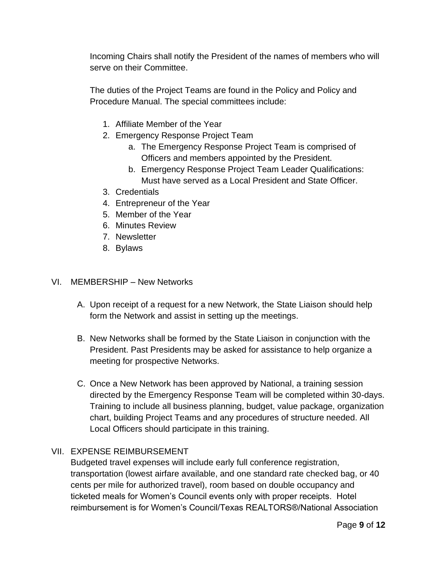Incoming Chairs shall notify the President of the names of members who will serve on their Committee.

The duties of the Project Teams are found in the Policy and Policy and Procedure Manual. The special committees include:

- 1. Affiliate Member of the Year
- 2. Emergency Response Project Team
	- a. The Emergency Response Project Team is comprised of Officers and members appointed by the President.
	- b. Emergency Response Project Team Leader Qualifications: Must have served as a Local President and State Officer.
- 3. Credentials
- 4. Entrepreneur of the Year
- 5. Member of the Year
- 6. Minutes Review
- 7. Newsletter
- 8. Bylaws

### VI. MEMBERSHIP – New Networks

- A. Upon receipt of a request for a new Network, the State Liaison should help form the Network and assist in setting up the meetings.
- B. New Networks shall be formed by the State Liaison in conjunction with the President. Past Presidents may be asked for assistance to help organize a meeting for prospective Networks.
- C. Once a New Network has been approved by National, a training session directed by the Emergency Response Team will be completed within 30-days. Training to include all business planning, budget, value package, organization chart, building Project Teams and any procedures of structure needed. All Local Officers should participate in this training.

## VII. EXPENSE REIMBURSEMENT

Budgeted travel expenses will include early full conference registration, transportation (lowest airfare available, and one standard rate checked bag, or 40 cents per mile for authorized travel), room based on double occupancy and ticketed meals for Women's Council events only with proper receipts. Hotel reimbursement is for Women's Council/Texas REALTORS®/National Association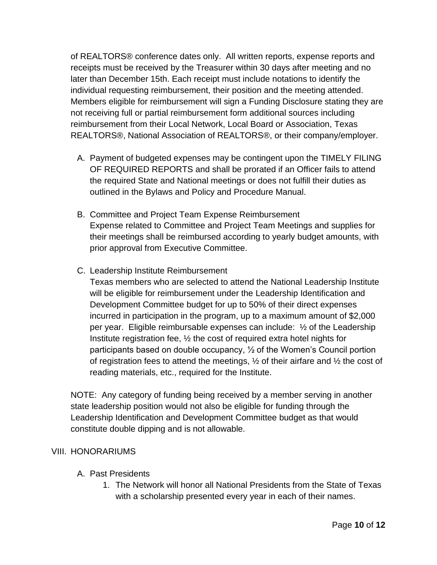of REALTORS® conference dates only. All written reports, expense reports and receipts must be received by the Treasurer within 30 days after meeting and no later than December 15th. Each receipt must include notations to identify the individual requesting reimbursement, their position and the meeting attended. Members eligible for reimbursement will sign a Funding Disclosure stating they are not receiving full or partial reimbursement form additional sources including reimbursement from their Local Network, Local Board or Association, Texas REALTORS®, National Association of REALTORS®, or their company/employer.

- A. Payment of budgeted expenses may be contingent upon the TIMELY FILING OF REQUIRED REPORTS and shall be prorated if an Officer fails to attend the required State and National meetings or does not fulfill their duties as outlined in the Bylaws and Policy and Procedure Manual.
- B. Committee and Project Team Expense Reimbursement Expense related to Committee and Project Team Meetings and supplies for their meetings shall be reimbursed according to yearly budget amounts, with prior approval from Executive Committee.
- C. Leadership Institute Reimbursement

Texas members who are selected to attend the National Leadership Institute will be eligible for reimbursement under the Leadership Identification and Development Committee budget for up to 50% of their direct expenses incurred in participation in the program, up to a maximum amount of \$2,000 per year. Eligible reimbursable expenses can include:  $\frac{1}{2}$  of the Leadership Institute registration fee, ½ the cost of required extra hotel nights for participants based on double occupancy, ½ of the Women's Council portion of registration fees to attend the meetings,  $\frac{1}{2}$  of their airfare and  $\frac{1}{2}$  the cost of reading materials, etc., required for the Institute.

NOTE: Any category of funding being received by a member serving in another state leadership position would not also be eligible for funding through the Leadership Identification and Development Committee budget as that would constitute double dipping and is not allowable.

### VIII. HONORARIUMS

- A. Past Presidents
	- 1. The Network will honor all National Presidents from the State of Texas with a scholarship presented every year in each of their names.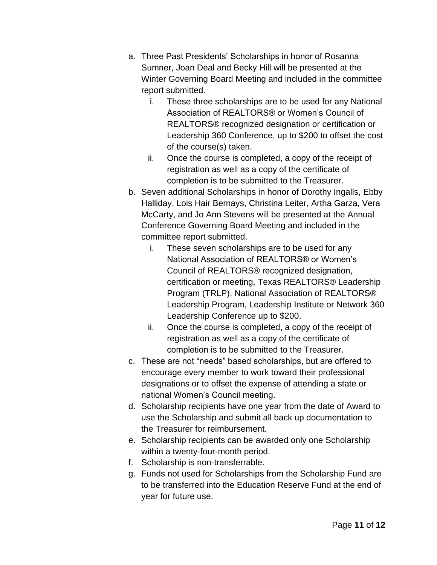- a. Three Past Presidents' Scholarships in honor of Rosanna Sumner, Joan Deal and Becky Hill will be presented at the Winter Governing Board Meeting and included in the committee report submitted.
	- i. These three scholarships are to be used for any National Association of REALTORS® or Women's Council of REALTORS® recognized designation or certification or Leadership 360 Conference, up to \$200 to offset the cost of the course(s) taken.
	- ii. Once the course is completed, a copy of the receipt of registration as well as a copy of the certificate of completion is to be submitted to the Treasurer.
- b. Seven additional Scholarships in honor of Dorothy Ingalls, Ebby Halliday, Lois Hair Bernays, Christina Leiter, Artha Garza, Vera McCarty, and Jo Ann Stevens will be presented at the Annual Conference Governing Board Meeting and included in the committee report submitted.
	- i. These seven scholarships are to be used for any National Association of REALTORS® or Women's Council of REALTORS® recognized designation, certification or meeting, Texas REALTORS® Leadership Program (TRLP), National Association of REALTORS® Leadership Program, Leadership Institute or Network 360 Leadership Conference up to \$200.
	- ii. Once the course is completed, a copy of the receipt of registration as well as a copy of the certificate of completion is to be submitted to the Treasurer.
- c. These are not "needs" based scholarships, but are offered to encourage every member to work toward their professional designations or to offset the expense of attending a state or national Women's Council meeting.
- d. Scholarship recipients have one year from the date of Award to use the Scholarship and submit all back up documentation to the Treasurer for reimbursement.
- e. Scholarship recipients can be awarded only one Scholarship within a twenty-four-month period.
- f. Scholarship is non-transferrable.
- g. Funds not used for Scholarships from the Scholarship Fund are to be transferred into the Education Reserve Fund at the end of year for future use.